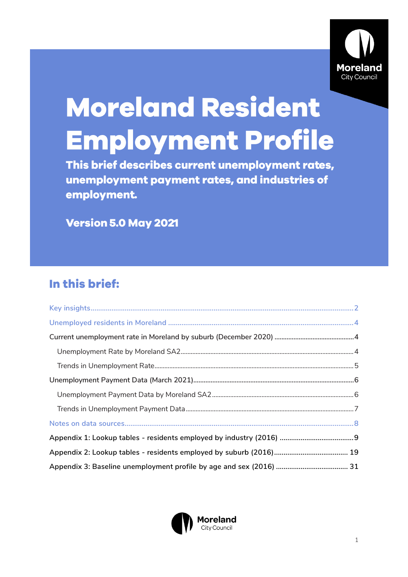

# **Moreland Resident Employment Profile**

This brief describes current unemployment rates, unemployment payment rates, and industries of employment.

**Version 5.0 May 2021** 

# In this brief:

<span id="page-0-0"></span>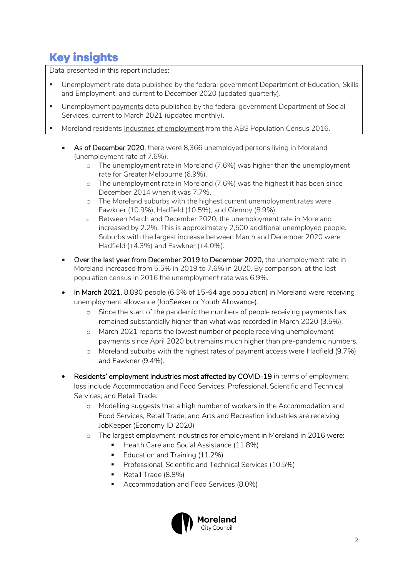# **Key insights**

Data presented in this report includes:

- Unemployment rate data published by the federal government Department of Education, Skills and Employment, and current to December 2020 (updated quarterly).
- **■** Unemployment payments data published by the federal government Department of Social Services, current to March 2021 (updated monthly).
- Moreland residents Industries of employment from the ABS Population Census 2016.
	- As of December 2020, there were 8,366 unemployed persons living in Moreland (unemployment rate of 7.6%).
		- o The unemployment rate in Moreland (7.6%) was higher than the unemployment rate for Greater Melbourne (6.9%).
		- o The unemployment rate in Moreland (7.6%) was the highest it has been since December 2014 when it was 7.7%.
		- o The Moreland suburbs with the highest current unemployment rates were Fawkner (10.9%), Hadfield (10.5%), and Glenroy (8.9%).
		- Between March and December 2020, the unemployment rate in Moreland increased by 2.2%. This is approximately 2,500 additional unemployed people. Suburbs with the largest increase between March and December 2020 were Hadfield (+4.3%) and Fawkner (+4.0%).
	- Over the last year from December 2019 to December 2020, the unemployment rate in Moreland increased from 5.5% in 2019 to 7.6% in 2020. By comparison, at the last population census in 2016 the unemployment rate was 6.9%.
	- In March 2021, 8,890 people (6.3% of 15-64 age population) in Moreland were receiving unemployment allowance (JobSeeker or Youth Allowance).
		- o Since the start of the pandemic the numbers of people receiving payments has remained substantially higher than what was recorded in March 2020 (3.5%).
		- o March 2021 reports the lowest number of people receiving unemployment payments since April 2020 but remains much higher than pre-pandemic numbers.
		- o Moreland suburbs with the highest rates of payment access were Hadfield (9.7%) and Fawkner (9.4%).
	- Residents' employment industries most affected by COVID-19 in terms of employment loss include Accommodation and Food Services; Professional, Scientific and Technical Services; and Retail Trade.
		- o Modelling suggests that a high number of workers in the Accommodation and Food Services, Retail Trade, and Arts and Recreation industries are receiving JobKeeper (Economy ID 2020)
		- o The largest employment industries for employment in Moreland in 2016 were:
			- Health Care and Social Assistance (11.8%)
			- Education and Training (11.2%)
			- Professional, Scientific and Technical Services (10.5%)
			- Retail Trade (8.8%)
			- Accommodation and Food Services (8.0%)

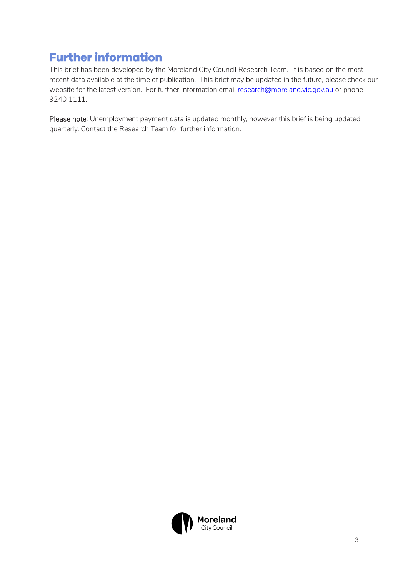# **Further information**

This brief has been developed by the Moreland City Council Research Team. It is based on the most recent data available at the time of publication. This brief may be updated in the future, please check our website for the latest version. For further information emai[l research@moreland.vic.gov.au](mailto:research@moreland.vic.gov.au) or phone 9240 1111.

Please note: Unemployment payment data is updated monthly, however this brief is being updated quarterly. Contact the Research Team for further information.

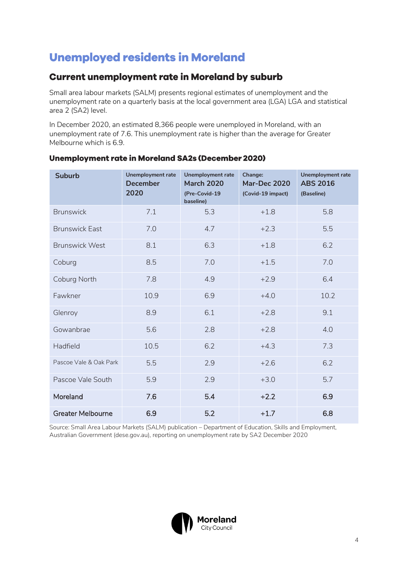# <span id="page-3-0"></span>**Unemployed residents in Moreland**

## <span id="page-3-1"></span>**Current unemployment rate in Moreland by suburb**

Small area labour markets (SALM) presents regional estimates of unemployment and the unemployment rate on a quarterly basis at the local government area (LGA) LGA and statistical area 2 (SA2) level.

In December 2020, an estimated 8,366 people were unemployed in Moreland, with an unemployment rate of 7.6. This unemployment rate is higher than the average for Greater Melbourne which is 6.9.

| <b>Suburb</b>            | <b>Unemployment rate</b><br><b>December</b><br>2020 | <b>Unemployment rate</b><br><b>March 2020</b><br>(Pre-Covid-19<br>baseline) | Change:<br><b>Mar-Dec 2020</b><br>(Covid-19 impact) | <b>Unemployment rate</b><br><b>ABS 2016</b><br>(Baseline) |
|--------------------------|-----------------------------------------------------|-----------------------------------------------------------------------------|-----------------------------------------------------|-----------------------------------------------------------|
| <b>Brunswick</b>         | 7.1                                                 | 5.3                                                                         | $+1.8$                                              | 5.8                                                       |
| <b>Brunswick East</b>    | 7.0                                                 | 4.7                                                                         | $+2.3$                                              | 5.5                                                       |
| <b>Brunswick West</b>    | 8.1                                                 | 6.3                                                                         | $+1.8$                                              | 6.2                                                       |
| Coburg                   | 8.5                                                 | 7.0                                                                         | $+1.5$                                              | 7.0                                                       |
| Coburg North             | 7.8                                                 | 4.9                                                                         | $+2.9$                                              | 6.4                                                       |
| Fawkner                  | 10.9                                                | 6.9                                                                         | $+4.0$                                              | 10.2                                                      |
| Glenroy                  | 8.9                                                 | 6.1                                                                         | $+2.8$                                              | 9.1                                                       |
| Gowanbrae                | 5.6                                                 | 2.8                                                                         | $+2.8$                                              | 4.0                                                       |
| Hadfield                 | 10.5                                                | 6.2                                                                         | $+4.3$                                              | 7.3                                                       |
| Pascoe Vale & Oak Park   | 5.5                                                 | 2.9                                                                         | $+2.6$                                              | 6.2                                                       |
| Pascoe Vale South        | 5.9                                                 | 2.9                                                                         | $+3.0$                                              | 5.7                                                       |
| Moreland                 | 7.6                                                 | 5.4                                                                         | $+2.2$                                              | 6.9                                                       |
| <b>Greater Melbourne</b> | 6.9                                                 | 5.2                                                                         | $+1.7$                                              | 6.8                                                       |

#### <span id="page-3-2"></span>Unemployment rate in Moreland SA2s (December 2020)

Source: Small Area Labour Markets (SALM) publication – Department of Education, Skills and Employment, Australian Government (dese.gov.au), reporting on unemployment rate by SA2 December 2020

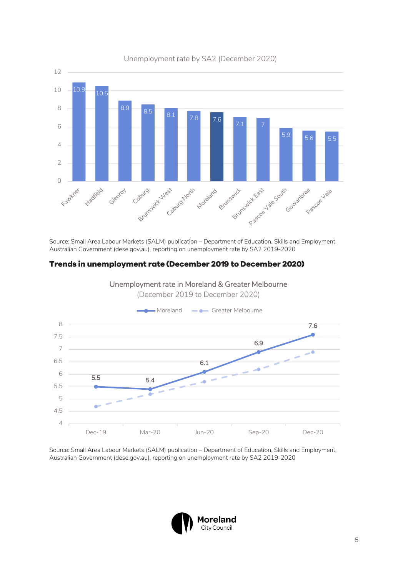

Unemployment rate by SA2 (December 2020)

Source: Small Area Labour Markets (SALM) publication – Department of Education, Skills and Employment, Australian Government (dese.gov.au), reporting on unemployment rate by SA2 2019-2020

#### <span id="page-4-0"></span>Trends in unemployment rate (December 2019 to December 2020)



Unemployment rate in Moreland & Greater Melbourne (December 2019 to December 2020)

Source: Small Area Labour Markets (SALM) publication – Department of Education, Skills and Employment, Australian Government (dese.gov.au), reporting on unemployment rate by SA2 2019-2020

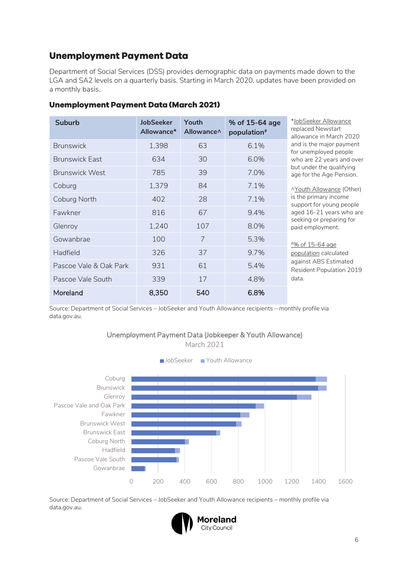## <span id="page-5-0"></span>**Unemployment Payment Data**

Department of Social Services (DSS) provides demographic data on payments made down to the LGA and SA2 levels on a quarterly basis. Starting in March 2020, updates have been provided on a monthly basis.

| <b>Suburb</b>          | <b>JobSeeker</b><br>Allowance* | Youth<br>Allowance <sup><math>\wedge</math></sup> | % of 15-64 age<br>population <sup>#</sup> | *JobSeeker Allowance<br>replaced Newstart<br>allowance in March 2020 |
|------------------------|--------------------------------|---------------------------------------------------|-------------------------------------------|----------------------------------------------------------------------|
| <b>Brunswick</b>       | 1,398                          | 63                                                | 6.1%                                      | and is the major payment<br>for unemployed people                    |
| <b>Brunswick Fast</b>  | 634                            | 30                                                | 6.0%                                      | who are 22 years and over                                            |
| <b>Brunswick West</b>  | 785                            | 39                                                | 7.0%                                      | but under the qualifying<br>age for the Age Pension.                 |
| Coburg                 | 1,379                          | 84                                                | 7.1%                                      | ^Youth Allowance (Other)                                             |
| Coburg North           | 402                            | 28                                                | 7.1%                                      | is the primary income<br>support for young people                    |
| Fawkner                | 816                            | 67                                                | 9.4%                                      | aged 16-21 years who are                                             |
| Glenroy                | 1,240                          | 107                                               | 8.0%                                      | seeking or preparing for<br>paid employment.                         |
| Gowanbrae              | 100                            | $\overline{7}$                                    | 5.3%                                      | <u><i>#% of 15-64 age</i></u>                                        |
| Hadfield               | 326                            | 37                                                | 9.7%                                      | population calculated                                                |
| Pascoe Vale & Oak Park | 931                            | 61                                                | 5.4%                                      | against ABS Estimated<br>Resident Population 2019                    |
| Pascoe Vale South      | 339                            | 17                                                | 4.8%                                      | data.                                                                |
| Moreland               | 8,350                          | 540                                               | 6.8%                                      |                                                                      |

#### <span id="page-5-1"></span>**Unemployment Payment Data (March 2021)**

Source: Department of Social Services – JobSeeker and Youth Allowance recipients – monthly profile via data.gov.au.

#### Unemployment Payment Data (Jobkeeper & Youth Allowance)

March 2021



Source: Department of Social Services – JobSeeker and Youth Allowance recipients – monthly profile via data.gov.au.

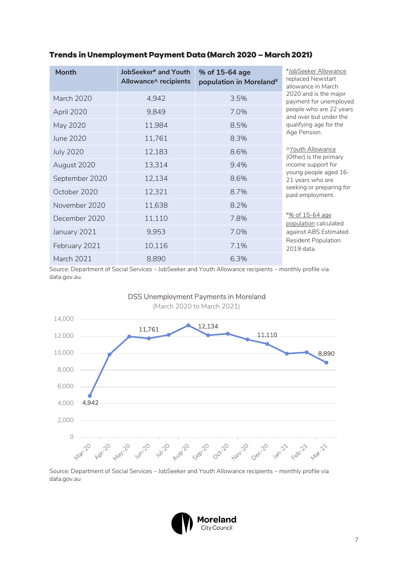| <b>Month</b>      | JobSeeker* and Youth<br>Allowance^ recipients | % of 15-64 age<br>population in Moreland <sup>#</sup> | *JobSeeker Allowance<br>replaced Newstart<br>allowance in March |
|-------------------|-----------------------------------------------|-------------------------------------------------------|-----------------------------------------------------------------|
| <b>March 2020</b> | 4,942                                         | 3.5%                                                  | 2020 and is the major<br>payment for unemployed                 |
| April 2020        | 9,849                                         | 7.0%                                                  | people who are 22 years<br>and over but under the               |
| May 2020          | 11,984                                        | 8.5%                                                  | qualifying age for the                                          |
| June 2020         | 11,761                                        | 8.3%                                                  | Age Pension.                                                    |
| <b>July 2020</b>  | 12,183                                        | 8.6%                                                  | <b>AYouth Allowance</b><br>(Other) is the primary               |
| August 2020       | 13,314                                        | 9.4%                                                  | income support for                                              |
| September 2020    | 12,134                                        | 8.6%                                                  | young people aged 16-<br>21 years who are                       |
| October 2020      | 12,321                                        | 8.7%                                                  | seeking or preparing for<br>paid employment.                    |
| November 2020     | 11,638                                        | 8.2%                                                  |                                                                 |
| December 2020     | 11,110                                        | 7.8%                                                  | <u><i>*% of 15-64 age</i></u><br>population calculated          |
| January 2021      | 9,953                                         | 7.0%                                                  | against ABS Estimated                                           |
| February 2021     | 10,116                                        | 7.1%                                                  | <b>Resident Population</b><br>2019 data.                        |
| <b>March 2021</b> | 8,890                                         | 6.3%                                                  |                                                                 |

#### <span id="page-6-0"></span>Trends in Unemployment Payment Data (March 2020 - March 2021)

Source: Department of Social Services – JobSeeker and Youth Allowance recipients – monthly profile via data.gov.au.



DSS Unemployment Payments in Moreland

Source: Department of Social Services – JobSeeker and Youth Allowance recipients – monthly profile via data.gov.au

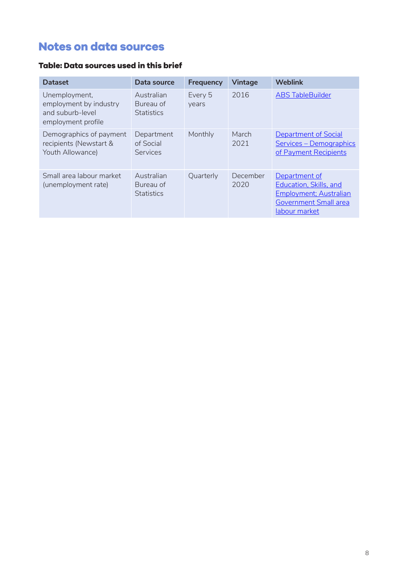# <span id="page-7-0"></span>**Notes on data sources**

#### Table: Data sources used in this brief

| <b>Dataset</b>                                                                    | Data source                                  | <b>Frequency</b> | <b>Vintage</b>   | <b>Weblink</b>                                                                                                                    |
|-----------------------------------------------------------------------------------|----------------------------------------------|------------------|------------------|-----------------------------------------------------------------------------------------------------------------------------------|
| Unemployment,<br>employment by industry<br>and suburb-level<br>employment profile | Australian<br>Bureau of<br><b>Statistics</b> | Every 5<br>years | 2016             | <b>ABS TableBuilder</b>                                                                                                           |
| Demographics of payment<br>recipients (Newstart &<br>Youth Allowance)             | Department<br>of Social<br>Services          | Monthly          | March<br>2021    | <b>Department of Social</b><br>Services - Demographics<br>of Payment Recipients                                                   |
| Small area labour market<br>(unemployment rate)                                   | Australian<br>Bureau of<br><b>Statistics</b> | Quarterly        | December<br>2020 | Department of<br><b>Education, Skills, and</b><br><b>Employment</b> ; Australian<br><b>Government Small area</b><br>labour market |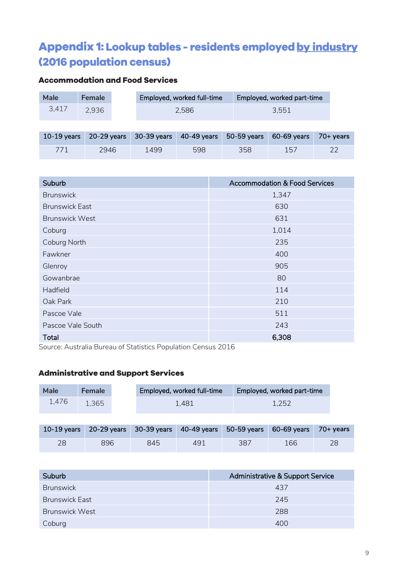# <span id="page-8-0"></span>Appendix 1: Lookup tables - residents employed by industry (2016 population census)

## **Accommodation and Food Services**

| Male          | <b>Female</b> |             | Employed, worked full-time |             | Employed, worked part-time |           |
|---------------|---------------|-------------|----------------------------|-------------|----------------------------|-----------|
| 3,417         | 2,936         |             | 2.586                      |             | 3,551                      |           |
|               |               |             |                            |             |                            |           |
| $10-19$ years | 20-29 years   | 30-39 years | 40-49 years                | 50-59 years | 60-69 years                | 70+ years |
| 771           | 2946          | 1499        | 598                        | 358         | 157                        |           |

| Suburb                | <b>Accommodation &amp; Food Services</b> |
|-----------------------|------------------------------------------|
| <b>Brunswick</b>      | 1,347                                    |
| <b>Brunswick East</b> | 630                                      |
| <b>Brunswick West</b> | 631                                      |
| Coburg                | 1,014                                    |
| Coburg North          | 235                                      |
| Fawkner               | 400                                      |
| Glenroy               | 905                                      |
| Gowanbrae             | 80                                       |
| Hadfield              | 114                                      |
| Oak Park              | 210                                      |
| Pascoe Vale           | 511                                      |
| Pascoe Vale South     | 243                                      |
| Total                 | 6,308                                    |

Source: Australia Bureau of Statistics Population Census 2016

#### **Administrative and Support Services**

| <b>Male</b> | <b>Female</b> | Employed, worked full-time | <b>Employed, worked part-time</b> |
|-------------|---------------|----------------------------|-----------------------------------|
| 1.476       | 1,365         | 1.481                      | 1,252                             |

|    |     |     |     |     | 10-19 years 20-29 years 30-39 years 40-49 years 50-59 years 60-69 years 70+ years |  |
|----|-----|-----|-----|-----|-----------------------------------------------------------------------------------|--|
| 28 | 896 | 845 | 491 | 387 | 166                                                                               |  |

| Suburb                | Administrative & Support Service |
|-----------------------|----------------------------------|
| <b>Brunswick</b>      | 437                              |
| <b>Brunswick East</b> | 245                              |
| Brunswick West        | 288                              |
| Coburg                | 400                              |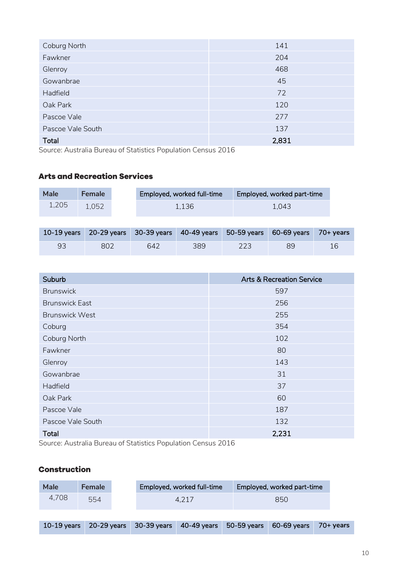| Coburg North      | 141   |
|-------------------|-------|
| Fawkner           | 204   |
| Glenroy           | 468   |
| Gowanbrae         | 45    |
| Hadfield          | 72    |
| Oak Park          | 120   |
| Pascoe Vale       | 277   |
| Pascoe Vale South | 137   |
| Total             | 2,831 |

Source: Australia Bureau of Statistics Population Census 2016

#### **Arts and Recreation Services**

| Male  | <b>Female</b> |                                             | Employed, worked full-time |               | Employed, worked part-time |          |  |
|-------|---------------|---------------------------------------------|----------------------------|---------------|----------------------------|----------|--|
| 1,205 | 1.052         | 1.136                                       |                            |               | 1.043                      |          |  |
|       |               |                                             |                            |               |                            |          |  |
|       |               | $10-19$ vears $-20-29$ vears $-30-39$ vears | $40 - 49$ vears            | $50-59$ vears | $60-69$ vears              | 70+ vear |  |

|    |     | - 10-19 years - 20-29 years - 30-39 years - 40-49 years - 50-59 years - 60-69 years - 70+ years |     |    |  |
|----|-----|-------------------------------------------------------------------------------------------------|-----|----|--|
| 93 | 802 | 642                                                                                             | 389 | 89 |  |

| Suburb                | <b>Arts &amp; Recreation Service</b> |
|-----------------------|--------------------------------------|
| <b>Brunswick</b>      | 597                                  |
| <b>Brunswick East</b> | 256                                  |
| <b>Brunswick West</b> | 255                                  |
| Coburg                | 354                                  |
| Coburg North          | 102                                  |
| Fawkner               | 80                                   |
| Glenroy               | 143                                  |
| Gowanbrae             | 31                                   |
| Hadfield              | 37                                   |
| Oak Park              | 60                                   |
| Pascoe Vale           | 187                                  |
| Pascoe Vale South     | 132                                  |
| <b>Total</b>          | 2,231                                |

Source: Australia Bureau of Statistics Population Census 2016

#### **Construction**

| <b>Male</b>   | <b>Female</b> | Employed, worked full-time<br>Employed, worked part-time |             |             |     |             |             |           |
|---------------|---------------|----------------------------------------------------------|-------------|-------------|-----|-------------|-------------|-----------|
| 4,708         | 554           |                                                          | 4.217       |             | 850 |             |             |           |
|               |               |                                                          |             |             |     |             |             |           |
| $10-19$ years | 20-29 years   |                                                          | 30-39 years | 40-49 years |     | 50-59 years | 60-69 years | 70+ years |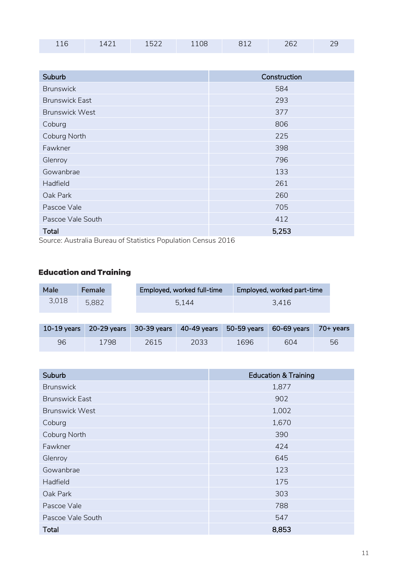| $\Gamma$<br>າຂາ<br>── ~<br>. .<br>T T OO<br>.ULL<br>- - - - |  |  |  |  |  |  |  |
|-------------------------------------------------------------|--|--|--|--|--|--|--|
|-------------------------------------------------------------|--|--|--|--|--|--|--|

| Suburb                | Construction |
|-----------------------|--------------|
| <b>Brunswick</b>      | 584          |
| <b>Brunswick East</b> | 293          |
| <b>Brunswick West</b> | 377          |
| Coburg                | 806          |
| Coburg North          | 225          |
| Fawkner               | 398          |
| Glenroy               | 796          |
| Gowanbrae             | 133          |
| Hadfield              | 261          |
| Oak Park              | 260          |
| Pascoe Vale           | 705          |
| Pascoe Vale South     | 412          |
| <b>Total</b>          | 5,253        |

Source: Australia Bureau of Statistics Population Census 2016

## **Education and Training**

| Male  | <b>Female</b> |       | Employed, worked full-time                                                        |       |  | Employed, worked part-time |  |
|-------|---------------|-------|-----------------------------------------------------------------------------------|-------|--|----------------------------|--|
| 3,018 | 5.882         | 5.144 |                                                                                   | 3.416 |  |                            |  |
|       |               |       |                                                                                   |       |  |                            |  |
|       |               |       | 10-19 years 20-29 years 30-39 years 40-49 years 50-59 years 60-69 years 70+ years |       |  |                            |  |

96 1798 2615 2033 1696 604 56

| Suburb                | <b>Education &amp; Training</b> |
|-----------------------|---------------------------------|
| <b>Brunswick</b>      | 1,877                           |
| <b>Brunswick East</b> | 902                             |
| <b>Brunswick West</b> | 1,002                           |
| Coburg                | 1,670                           |
| Coburg North          | 390                             |
| Fawkner               | 424                             |
| Glenroy               | 645                             |
| Gowanbrae             | 123                             |
| Hadfield              | 175                             |
| Oak Park              | 303                             |
| Pascoe Vale           | 788                             |
| Pascoe Vale South     | 547                             |
| <b>Total</b>          | 8,853                           |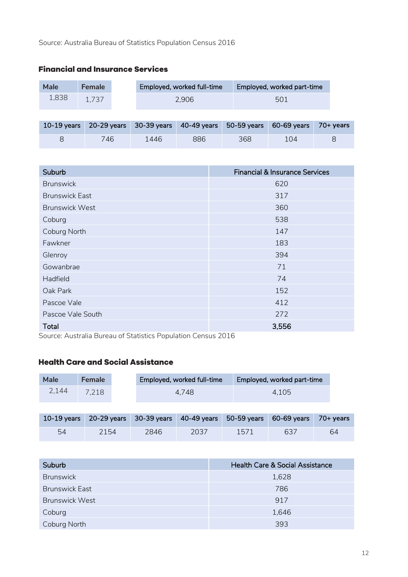# **Financial and Insurance Services Male Female** Employed, worked full-time Employed, worked part-time

|     | Employed, worked part-time | Employed, worked full-time | <b>Female</b> | Male  |
|-----|----------------------------|----------------------------|---------------|-------|
| 501 |                            | 2,906                      | 1,737         | 1,838 |

|     |      |     | 10-19 years 20-29 years 30-39 years 40-49 years 50-59 years 60-69 years 70+ years |     |  |
|-----|------|-----|-----------------------------------------------------------------------------------|-----|--|
| 746 | 1446 | 886 | 368                                                                               | 104 |  |

| Suburb                | <b>Financial &amp; Insurance Services</b> |
|-----------------------|-------------------------------------------|
| <b>Brunswick</b>      | 620                                       |
| <b>Brunswick East</b> | 317                                       |
| <b>Brunswick West</b> | 360                                       |
| Coburg                | 538                                       |
| Coburg North          | 147                                       |
| Fawkner               | 183                                       |
| Glenroy               | 394                                       |
| Gowanbrae             | 71                                        |
| Hadfield              | 74                                        |
| Oak Park              | 152                                       |
| Pascoe Vale           | 412                                       |
| Pascoe Vale South     | 272                                       |
| <b>Total</b>          | 3,556                                     |

Source: Australia Bureau of Statistics Population Census 2016

## **Health Care and Social Assistance**

| Male          | <b>Female</b> |             | Employed, worked full-time |             | Employed, worked part-time |           |  |
|---------------|---------------|-------------|----------------------------|-------------|----------------------------|-----------|--|
| 2,144         | 7,218         |             | 4.748                      |             | 4,105                      |           |  |
| $10-19$ years | $20-29$ years | 30-39 years | 40-49 years                | 50-59 years | 60-69 years                | 70+ years |  |
| 54            | 2154          | 2846        | 2037                       | 1571        | 637                        | 64        |  |

| Suburb                | <b>Health Care &amp; Social Assistance</b> |
|-----------------------|--------------------------------------------|
| <b>Brunswick</b>      | 1,628                                      |
| <b>Brunswick East</b> | 786                                        |
| <b>Brunswick West</b> | 917                                        |
| Coburg                | 1,646                                      |
| <b>Coburg North</b>   | 393                                        |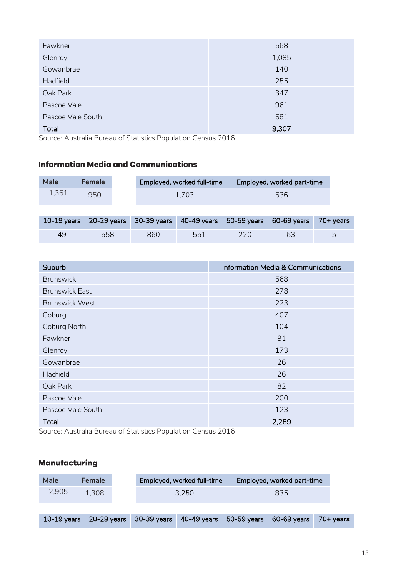| Fawkner           | 568   |
|-------------------|-------|
| Glenroy           | 1,085 |
| Gowanbrae         | 140   |
| Hadfield          | 255   |
| Oak Park          | 347   |
| Pascoe Vale       | 961   |
| Pascoe Vale South | 581   |
| Total             | 9,307 |

Source: Australia Bureau of Statistics Population Census 2016

#### **Information Media and Communications**

| <b>Male</b> | <b>Female</b> | Employed, worked full-time | Employed, worked part-time |
|-------------|---------------|----------------------------|----------------------------|
| 1,361       | 950           | 1.703                      | 536                        |

|    |     | 10-19 years 20-29 years 30-39 years 40-49 years 50-59 years 60-69 years 70+ years |     |     |    |  |
|----|-----|-----------------------------------------------------------------------------------|-----|-----|----|--|
| 49 | 558 | 860                                                                               | 551 | 220 | 63 |  |

| Suburb                | <b>Information Media &amp; Communications</b> |
|-----------------------|-----------------------------------------------|
| <b>Brunswick</b>      | 568                                           |
| <b>Brunswick East</b> | 278                                           |
| <b>Brunswick West</b> | 223                                           |
| Coburg                | 407                                           |
| Coburg North          | 104                                           |
| Fawkner               | 81                                            |
| Glenroy               | 173                                           |
| Gowanbrae             | 26                                            |
| Hadfield              | 26                                            |
| Oak Park              | 82                                            |
| Pascoe Vale           | 200                                           |
| Pascoe Vale South     | 123                                           |
| Total                 | 2,289                                         |

Source: Australia Bureau of Statistics Population Census 2016

#### **Manufacturing**

| <b>Male</b>   | <b>Female</b> |             | Employed, worked full-time |             | Employed, worked part-time |           |
|---------------|---------------|-------------|----------------------------|-------------|----------------------------|-----------|
| 2,905         | 1.308         |             | 3.250                      |             | 835                        |           |
|               |               |             |                            |             |                            |           |
| $10-19$ years | 20-29 years   | 30-39 years | 40-49 years                | 50-59 years | 60-69 years                | 70+ years |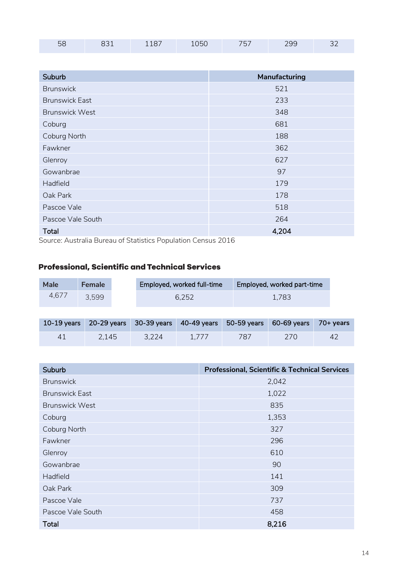| 99<br>. .<br>– ∽<br>---- | $\Gamma$ |  | -- |  | $- - -$ |  |  |
|--------------------------|----------|--|----|--|---------|--|--|
|--------------------------|----------|--|----|--|---------|--|--|

| Suburb                | Manufacturing |
|-----------------------|---------------|
| <b>Brunswick</b>      | 521           |
| <b>Brunswick East</b> | 233           |
| <b>Brunswick West</b> | 348           |
| Coburg                | 681           |
| Coburg North          | 188           |
| Fawkner               | 362           |
| Glenroy               | 627           |
| Gowanbrae             | 97            |
| Hadfield              | 179           |
| Oak Park              | 178           |
| Pascoe Vale           | 518           |
| Pascoe Vale South     | 264           |
| <b>Total</b>          | 4,204         |

Source: Australia Bureau of Statistics Population Census 2016

#### **Professional, Scientific and Technical Services**

| <b>Male</b> | <b>Female</b> | Employed, worked full-time | Employed, worked part-time |
|-------------|---------------|----------------------------|----------------------------|
| 4.6/        | 3.599         | 6,252                      | 1.783                      |
|             |               |                            |                            |

|    |       | $10-19$ years $20-29$ years $30-39$ years $40-49$ years $50-59$ years $60-69$ years $70+$ years |       |     |     |  |
|----|-------|-------------------------------------------------------------------------------------------------|-------|-----|-----|--|
| 41 | 2.145 | 3,224                                                                                           | 1.777 | 787 | 270 |  |

| Suburb                | <b>Professional, Scientific &amp; Technical Services</b> |
|-----------------------|----------------------------------------------------------|
| <b>Brunswick</b>      | 2,042                                                    |
| <b>Brunswick East</b> | 1,022                                                    |
| <b>Brunswick West</b> | 835                                                      |
| Coburg                | 1,353                                                    |
| Coburg North          | 327                                                      |
| Fawkner               | 296                                                      |
| Glenroy               | 610                                                      |
| Gowanbrae             | 90                                                       |
| Hadfield              | 141                                                      |
| Oak Park              | 309                                                      |
| Pascoe Vale           | 737                                                      |
| Pascoe Vale South     | 458                                                      |
| Total                 | 8,216                                                    |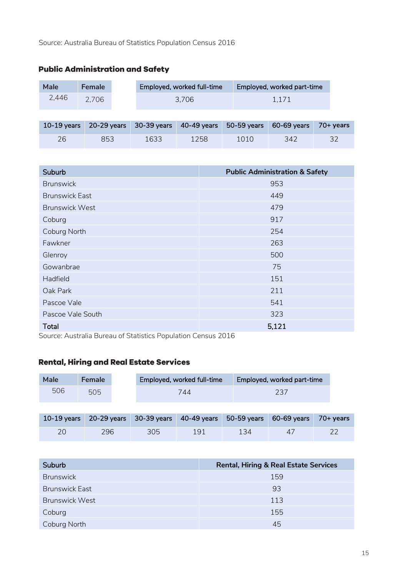| <b>Male</b>   | <b>Female</b> |             | Employed, worked full-time |             | Employed, worked part-time |           |
|---------------|---------------|-------------|----------------------------|-------------|----------------------------|-----------|
| 2,446         | 2,706         |             | 3.706                      |             | 1.171                      |           |
|               |               |             |                            |             |                            |           |
| $10-19$ years | $20-29$ years | 30-39 years | $40-49$ years              | 50-59 years | 60-69 years                | 70+ years |

26 853 1633 1258 1010 342 32

## **Public Administration and Safety**

| Suburb                | <b>Public Administration &amp; Safety</b> |
|-----------------------|-------------------------------------------|
| <b>Brunswick</b>      | 953                                       |
| <b>Brunswick East</b> | 449                                       |
| <b>Brunswick West</b> | 479                                       |
| Coburg                | 917                                       |
| Coburg North          | 254                                       |
| Fawkner               | 263                                       |
| Glenroy               | 500                                       |
| Gowanbrae             | 75                                        |
| Hadfield              | 151                                       |
| Oak Park              | 211                                       |
| Pascoe Vale           | 541                                       |
| Pascoe Vale South     | 323                                       |
| <b>Total</b>          | 5,121                                     |

Source: Australia Bureau of Statistics Population Census 2016

#### **Rental, Hiring and Real Estate Services**

| Male          | <b>Female</b> | Employed, worked full-time |               |             | Employed, worked part-time |           |  |
|---------------|---------------|----------------------------|---------------|-------------|----------------------------|-----------|--|
| 506           | 505           | 744                        |               |             | 237                        |           |  |
|               |               |                            |               |             |                            |           |  |
| $10-19$ years | $20-29$ years | 30-39 years                | $40-49$ years | 50-59 years | 60-69 years                | 70+ years |  |
| 20            | 296           | 305                        | 191           | 134         | 47                         | フフ        |  |

| Suburb                | <b>Rental, Hiring &amp; Real Estate Services</b> |
|-----------------------|--------------------------------------------------|
| <b>Brunswick</b>      | 159                                              |
| <b>Brunswick East</b> | 93                                               |
| <b>Brunswick West</b> | 113                                              |
| Coburg                | 155                                              |
| <b>Coburg North</b>   | 45                                               |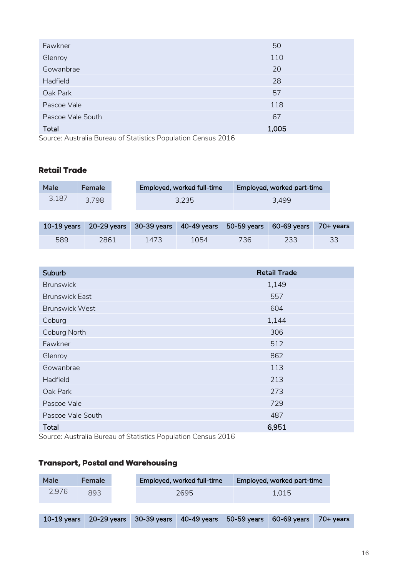| Fawkner           | 50    |
|-------------------|-------|
| Glenroy           | 110   |
| Gowanbrae         | 20    |
| Hadfield          | 28    |
| Oak Park          | 57    |
| Pascoe Vale       | 118   |
| Pascoe Vale South | 67    |
| Total             | 1,005 |

Source: Australia Bureau of Statistics Population Census 2016

#### **Retail Trade**

| <b>Male</b>   | <b>Female</b> |             | Employed, worked full-time |             | Employed, worked part-time |           |
|---------------|---------------|-------------|----------------------------|-------------|----------------------------|-----------|
| 3,187         | 3,798         |             | 3.235                      |             | 3,499                      |           |
|               |               |             |                            |             |                            |           |
| $10-19$ years | $20-29$ years | 30-39 years | 40-49 years                | 50-59 years | 60-69 years                | 70+ years |

589 2861 1473 1054 736 233 33

| Suburb                | <b>Retail Trade</b> |
|-----------------------|---------------------|
| <b>Brunswick</b>      | 1,149               |
| <b>Brunswick East</b> | 557                 |
| <b>Brunswick West</b> | 604                 |
| Coburg                | 1,144               |
| Coburg North          | 306                 |
| Fawkner               | 512                 |
| Glenroy               | 862                 |
| Gowanbrae             | 113                 |
| Hadfield              | 213                 |
| Oak Park              | 273                 |
| Pascoe Vale           | 729                 |
| Pascoe Vale South     | 487                 |
| <b>Total</b>          | 6,951               |

Source: Australia Bureau of Statistics Population Census 2016

## **Transport, Postal and Warehousing**

| Male  | <b>Female</b> |  |  | Employed, worked full-time                                                        |  | Employed, worked part-time |  |
|-------|---------------|--|--|-----------------------------------------------------------------------------------|--|----------------------------|--|
| 2,976 | 893           |  |  | 2695                                                                              |  | 1.015                      |  |
|       |               |  |  |                                                                                   |  |                            |  |
|       |               |  |  | 10-19 years 20-29 years 30-39 years 40-49 years 50-59 years 60-69 years 70+ years |  |                            |  |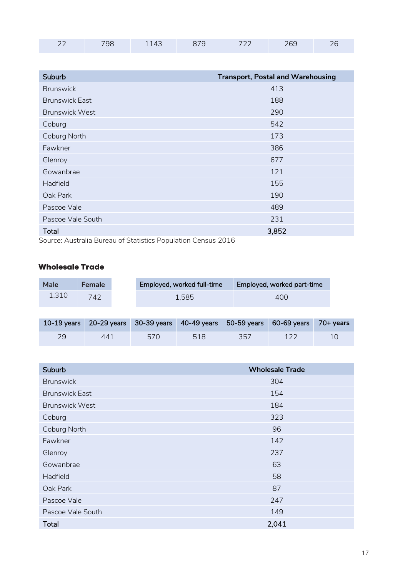| ~~<br>$- -$ | -- 10 | $\neg \neg$ | - - -<br>--- |  |
|-------------|-------|-------------|--------------|--|
|             |       |             |              |  |

| Suburb                | <b>Transport, Postal and Warehousing</b> |
|-----------------------|------------------------------------------|
| <b>Brunswick</b>      | 413                                      |
| <b>Brunswick East</b> | 188                                      |
| <b>Brunswick West</b> | 290                                      |
| Coburg                | 542                                      |
| Coburg North          | 173                                      |
| Fawkner               | 386                                      |
| Glenroy               | 677                                      |
| Gowanbrae             | 121                                      |
| Hadfield              | 155                                      |
| Oak Park              | 190                                      |
| Pascoe Vale           | 489                                      |
| Pascoe Vale South     | 231                                      |
| <b>Total</b>          | 3,852                                    |

Source: Australia Bureau of Statistics Population Census 2016

## **Wholesale Trade**

| <b>Male</b> | <b>Female</b> | Employed, worked full-time | <b>Employed, worked part-time</b> |
|-------------|---------------|----------------------------|-----------------------------------|
| 1,310       | 742           | 1.585                      | 400                               |

|    |     | 10-19 years 20-29 years 30-39 years 40-49 years 50-59 years 60-69 years 70+ years |     |     |     |  |
|----|-----|-----------------------------------------------------------------------------------|-----|-----|-----|--|
| 29 | 441 | 570                                                                               | 518 | 357 | 122 |  |

| Suburb                | <b>Wholesale Trade</b> |
|-----------------------|------------------------|
| <b>Brunswick</b>      | 304                    |
| <b>Brunswick East</b> | 154                    |
| <b>Brunswick West</b> | 184                    |
| Coburg                | 323                    |
| Coburg North          | 96                     |
| Fawkner               | 142                    |
| Glenroy               | 237                    |
| Gowanbrae             | 63                     |
| Hadfield              | 58                     |
| Oak Park              | 87                     |
| Pascoe Vale           | 247                    |
| Pascoe Vale South     | 149                    |
| <b>Total</b>          | 2,041                  |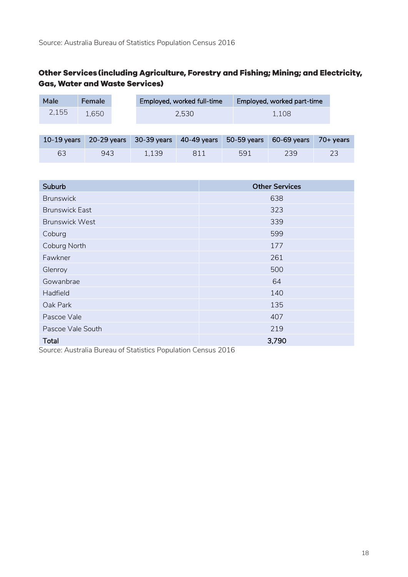#### Other Services (including Agriculture, Forestry and Fishing; Mining; and Electricity, **Gas, Water and Waste Services)**

| <b>Male</b> | <b>Female</b> | Employed, worked full-time | Employed, worked part-time |
|-------------|---------------|----------------------------|----------------------------|
| 2,155       | 1,650         | 2,530                      | 1.108                      |

|    |     |       |     |     | 10-19 years 20-29 years 30-39 years 40-49 years 50-59 years 60-69 years 70+ years |  |
|----|-----|-------|-----|-----|-----------------------------------------------------------------------------------|--|
| 63 | 943 | 1.139 | 811 | 591 | 239                                                                               |  |

| Suburb                | <b>Other Services</b> |
|-----------------------|-----------------------|
| <b>Brunswick</b>      | 638                   |
| <b>Brunswick East</b> | 323                   |
| <b>Brunswick West</b> | 339                   |
| Coburg                | 599                   |
| Coburg North          | 177                   |
| Fawkner               | 261                   |
| Glenroy               | 500                   |
| Gowanbrae             | 64                    |
| Hadfield              | 140                   |
| Oak Park              | 135                   |
| Pascoe Vale           | 407                   |
| Pascoe Vale South     | 219                   |
| <b>Total</b>          | 3,790                 |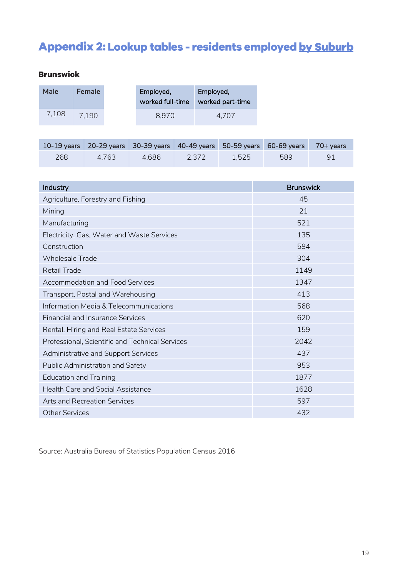# <span id="page-18-0"></span>Appendix 2: Lookup tables - residents employed by Suburb

## **Brunswick**

| Male  | <b>Female</b> | Employed,<br>worked full-time | Employed,<br>worked part-time |
|-------|---------------|-------------------------------|-------------------------------|
| 7,108 | 7.190         | 8.970                         | 4.707                         |

|     |       |       |       |       | 10-19 years 20-29 years 30-39 years 40-49 years 50-59 years 60-69 years 70+ years |  |
|-----|-------|-------|-------|-------|-----------------------------------------------------------------------------------|--|
| 268 | 4.763 | 4.686 | 2.372 | 1.525 | 589                                                                               |  |

| Industry                                        | <b>Brunswick</b> |
|-------------------------------------------------|------------------|
| Agriculture, Forestry and Fishing               | 45               |
| Mining                                          | 21               |
| Manufacturing                                   | 521              |
| Electricity, Gas, Water and Waste Services      | 135              |
| Construction                                    | 584              |
| <b>Wholesale Trade</b>                          | 304              |
| <b>Retail Trade</b>                             | 1149             |
| <b>Accommodation and Food Services</b>          | 1347             |
| Transport, Postal and Warehousing               | 413              |
| Information Media & Telecommunications          | 568              |
| <b>Financial and Insurance Services</b>         | 620              |
| Rental, Hiring and Real Estate Services         | 159              |
| Professional, Scientific and Technical Services | 2042             |
| <b>Administrative and Support Services</b>      | 437              |
| Public Administration and Safety                | 953              |
| <b>Education and Training</b>                   | 1877             |
| <b>Health Care and Social Assistance</b>        | 1628             |
| <b>Arts and Recreation Services</b>             | 597              |
| <b>Other Services</b>                           | 432              |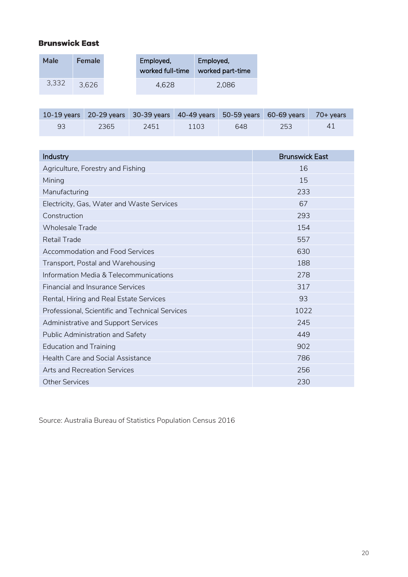#### **Brunswick East**

| Male  | <b>Female</b> | Employed,<br>worked full-time | Employed,<br>worked part-time |
|-------|---------------|-------------------------------|-------------------------------|
| 3,332 | 3,626         | 4.628                         | 2.086                         |

|    |      |      |      |     | 10-19 years 20-29 years 30-39 years 40-49 years 50-59 years 60-69 years 70+ years |    |
|----|------|------|------|-----|-----------------------------------------------------------------------------------|----|
| 93 | 2365 | 2451 | 1103 | 648 | 253                                                                               | 41 |

| Industry                                        | <b>Brunswick East</b> |
|-------------------------------------------------|-----------------------|
| Agriculture, Forestry and Fishing               | 16                    |
| Mining                                          | 15                    |
| Manufacturing                                   | 233                   |
| Electricity, Gas, Water and Waste Services      | 67                    |
| Construction                                    | 293                   |
| <b>Wholesale Trade</b>                          | 154                   |
| <b>Retail Trade</b>                             | 557                   |
| <b>Accommodation and Food Services</b>          | 630                   |
| Transport, Postal and Warehousing               | 188                   |
| Information Media & Telecommunications          | 278                   |
| <b>Financial and Insurance Services</b>         | 317                   |
| Rental, Hiring and Real Estate Services         | 93                    |
| Professional, Scientific and Technical Services | 1022                  |
| <b>Administrative and Support Services</b>      | 245                   |
| Public Administration and Safety                | 449                   |
| <b>Education and Training</b>                   | 902                   |
| <b>Health Care and Social Assistance</b>        | 786                   |
| Arts and Recreation Services                    | 256                   |
| <b>Other Services</b>                           | 230                   |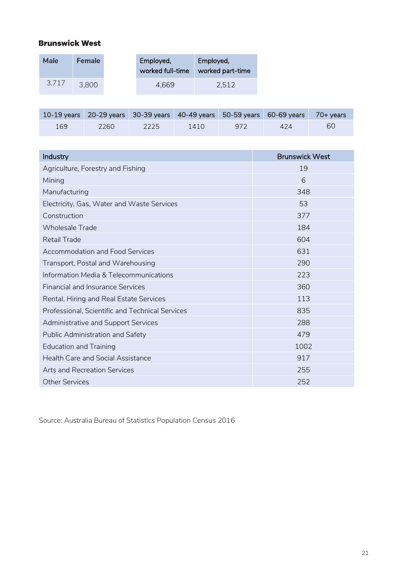#### **Brunswick West**

| Male  | <b>Female</b> | Employed,<br>worked full-time | Employed,<br>worked part-time |
|-------|---------------|-------------------------------|-------------------------------|
| 3,717 | 3.800         | 4.669                         | 2.512                         |

|     |      | 10-19 years 20-29 years 30-39 years 40-49 years 50-59 years 60-69 years 70+ years |      |     |     |    |
|-----|------|-----------------------------------------------------------------------------------|------|-----|-----|----|
| 169 | 2260 | 2225                                                                              | 1410 | 972 | 424 | 60 |

| Industry                                        | <b>Brunswick West</b> |
|-------------------------------------------------|-----------------------|
| Agriculture, Forestry and Fishing               | 19                    |
| Mining                                          | 6                     |
| Manufacturing                                   | 348                   |
| Electricity, Gas, Water and Waste Services      | 53                    |
| Construction                                    | 377                   |
| <b>Wholesale Trade</b>                          | 184                   |
| <b>Retail Trade</b>                             | 604                   |
| <b>Accommodation and Food Services</b>          | 631                   |
| Transport, Postal and Warehousing               | 290                   |
| Information Media & Telecommunications          | 223                   |
| <b>Financial and Insurance Services</b>         | 360                   |
| Rental, Hiring and Real Estate Services         | 113                   |
| Professional, Scientific and Technical Services | 835                   |
| <b>Administrative and Support Services</b>      | 288                   |
| Public Administration and Safety                | 479                   |
| <b>Education and Training</b>                   | 1002                  |
| <b>Health Care and Social Assistance</b>        | 917                   |
| Arts and Recreation Services                    | 255                   |
| <b>Other Services</b>                           | 252                   |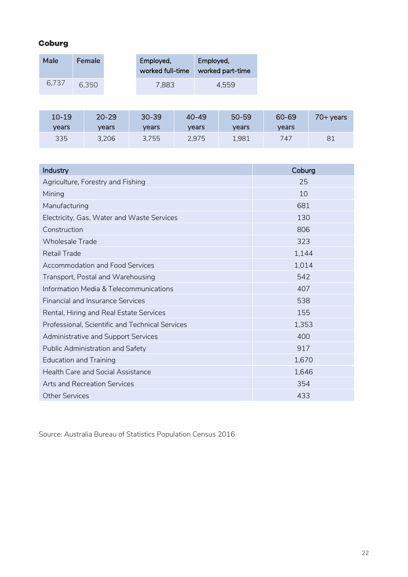#### Coburg

| Male  | <b>Female</b> | Employed,<br>worked full-time | Employed,<br>worked part-time |
|-------|---------------|-------------------------------|-------------------------------|
| 6.737 | 6.350         | 7.883                         | 4.559                         |

| $10 - 19$ | $20 - 29$ | $30 - 39$ | $40 - 49$ | $50 - 59$ | 60-69 | 70+ years |
|-----------|-----------|-----------|-----------|-----------|-------|-----------|
| vears     | vears     | vears     | vears     | vears     | vears |           |
| 335       | 3.206     | 3.755     | 2,975     | 1,981     | 747   | 81        |

| Industry                                        | Coburg |
|-------------------------------------------------|--------|
| Agriculture, Forestry and Fishing               | 25     |
| Mining                                          | 10     |
| Manufacturing                                   | 681    |
| Electricity, Gas, Water and Waste Services      | 130    |
| Construction                                    | 806    |
| <b>Wholesale Trade</b>                          | 323    |
| <b>Retail Trade</b>                             | 1,144  |
| <b>Accommodation and Food Services</b>          | 1,014  |
| Transport, Postal and Warehousing               | 542    |
| Information Media & Telecommunications          | 407    |
| <b>Financial and Insurance Services</b>         | 538    |
| Rental, Hiring and Real Estate Services         | 155    |
| Professional, Scientific and Technical Services | 1,353  |
| Administrative and Support Services             | 400    |
| Public Administration and Safety                | 917    |
| <b>Education and Training</b>                   | 1,670  |
| <b>Health Care and Social Assistance</b>        | 1,646  |
| Arts and Recreation Services                    | 354    |
| <b>Other Services</b>                           | 433    |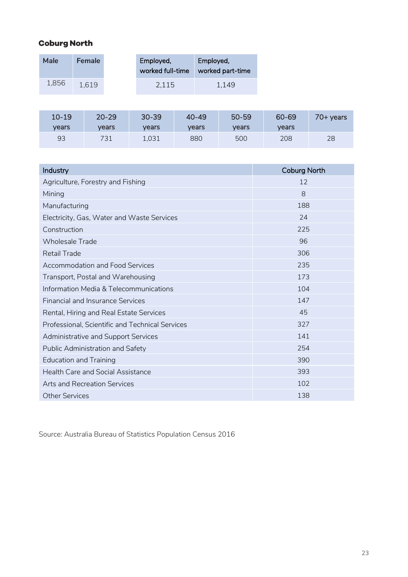## **Coburg North**

| Male  | <b>Female</b> | Employed,<br>worked full-time | Employed,<br>worked part-time |
|-------|---------------|-------------------------------|-------------------------------|
| 1,856 | 1.619         | 2,115                         | 1.149                         |

| $10 - 19$ | $20 - 29$ | $30 - 39$ | $40 - 49$ | $50 - 59$ | 60-69 | 70+ years |
|-----------|-----------|-----------|-----------|-----------|-------|-----------|
| vears     | vears     | vears     | vears     | vears     | vears |           |
| 93        | 731       | 1,031     | 880       | 500       | 208   | 28        |

| Industry                                        | <b>Coburg North</b> |
|-------------------------------------------------|---------------------|
| Agriculture, Forestry and Fishing               | 12                  |
| Mining                                          | 8                   |
| Manufacturing                                   | 188                 |
| Electricity, Gas, Water and Waste Services      | 24                  |
| Construction                                    | 225                 |
| <b>Wholesale Trade</b>                          | 96                  |
| <b>Retail Trade</b>                             | 306                 |
| <b>Accommodation and Food Services</b>          | 235                 |
| Transport, Postal and Warehousing               | 173                 |
| Information Media & Telecommunications          | 104                 |
| <b>Financial and Insurance Services</b>         | 147                 |
| Rental, Hiring and Real Estate Services         | 45                  |
| Professional, Scientific and Technical Services | 327                 |
| Administrative and Support Services             | 141                 |
| Public Administration and Safety                | 254                 |
| <b>Education and Training</b>                   | 390                 |
| <b>Health Care and Social Assistance</b>        | 393                 |
| Arts and Recreation Services                    | 102                 |
| <b>Other Services</b>                           | 138                 |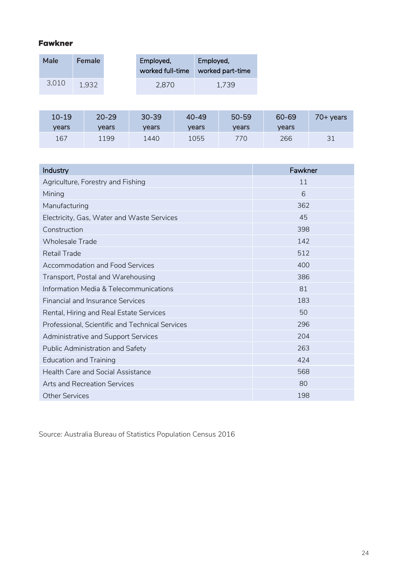#### **Fawkner**

| Male  | <b>Female</b> | Employed,<br>worked full-time | Employed,<br>worked part-time |
|-------|---------------|-------------------------------|-------------------------------|
| 3,010 | 1.932         | 2.870                         | 1.739                         |

| $10 - 19$ | $20 - 29$ | $30 - 39$ | $40 - 49$ | $50 - 59$ | 60-69 | 70+ years |
|-----------|-----------|-----------|-----------|-----------|-------|-----------|
| vears     | vears     | vears     | vears     | vears     | vears |           |
| 167       | 1199      | 1440      | 1055      | 770       | 266   | 31        |

| Industry                                        | Fawkner |
|-------------------------------------------------|---------|
| Agriculture, Forestry and Fishing               | 11      |
| Mining                                          | 6       |
| Manufacturing                                   | 362     |
| Electricity, Gas, Water and Waste Services      | 45      |
| Construction                                    | 398     |
| <b>Wholesale Trade</b>                          | 142     |
| <b>Retail Trade</b>                             | 512     |
| <b>Accommodation and Food Services</b>          | 400     |
| Transport, Postal and Warehousing               | 386     |
| Information Media & Telecommunications          | 81      |
| <b>Financial and Insurance Services</b>         | 183     |
| Rental, Hiring and Real Estate Services         | 50      |
| Professional, Scientific and Technical Services | 296     |
| Administrative and Support Services             | 204     |
| Public Administration and Safety                | 263     |
| <b>Education and Training</b>                   | 424     |
| <b>Health Care and Social Assistance</b>        | 568     |
| Arts and Recreation Services                    | 80      |
| <b>Other Services</b>                           | 198     |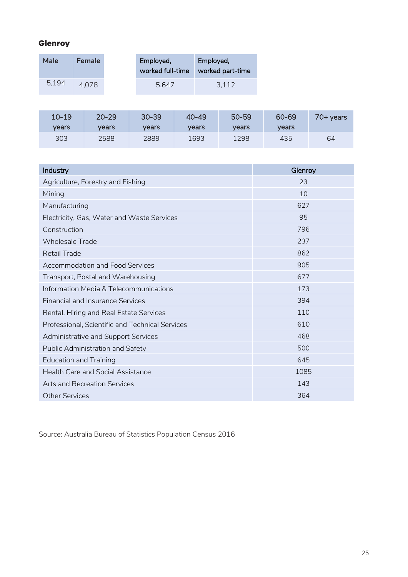#### Glenroy

| Male  | <b>Female</b> | Employed,<br>worked full-time | Employed,<br>worked part-time |
|-------|---------------|-------------------------------|-------------------------------|
| 5,194 | 4.078         | 5.647                         | 3,112                         |

| $10 - 19$ | $20 - 29$ | $30 - 39$ | $40 - 49$ | $50 - 59$ | 60-69 | 70+ years |
|-----------|-----------|-----------|-----------|-----------|-------|-----------|
| vears     | vears     | vears     | vears     | vears     | vears |           |
| 303       | 2588      | 2889      | 1693      | 1298      | 435   | 64        |

| Industry                                        | Glenroy |
|-------------------------------------------------|---------|
| Agriculture, Forestry and Fishing               | 23      |
| Mining                                          | 10      |
| Manufacturing                                   | 627     |
| Electricity, Gas, Water and Waste Services      | 95      |
| Construction                                    | 796     |
| <b>Wholesale Trade</b>                          | 237     |
| <b>Retail Trade</b>                             | 862     |
| Accommodation and Food Services                 | 905     |
| Transport, Postal and Warehousing               | 677     |
| Information Media & Telecommunications          | 173     |
| <b>Financial and Insurance Services</b>         | 394     |
| Rental, Hiring and Real Estate Services         | 110     |
| Professional, Scientific and Technical Services | 610     |
| Administrative and Support Services             | 468     |
| Public Administration and Safety                | 500     |
| <b>Education and Training</b>                   | 645     |
| <b>Health Care and Social Assistance</b>        | 1085    |
| <b>Arts and Recreation Services</b>             | 143     |
| <b>Other Services</b>                           | 364     |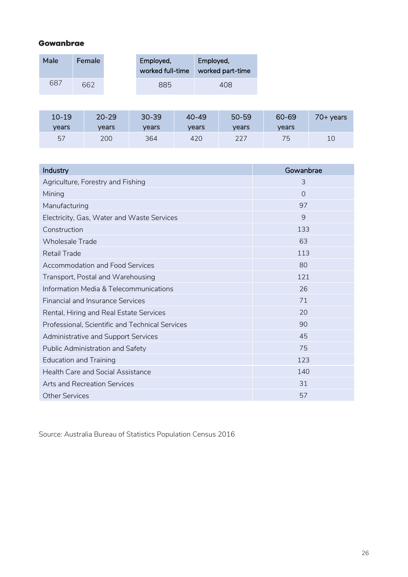#### Gowanbrae

| Male | <b>Female</b> | Employed,<br>worked full-time | Employed,<br>worked part-time |
|------|---------------|-------------------------------|-------------------------------|
| 687  | 662           | 885                           | 408                           |

| $10 - 19$ | $20 - 29$ | $30 - 39$ | $40 - 49$ | $50 - 59$ | 60-69 | 70+ years |
|-----------|-----------|-----------|-----------|-----------|-------|-----------|
| vears     | vears     | vears     | vears     | vears     | vears |           |
| 57        | 200       | 364       | 420       | 227       | 75    |           |

| Industry                                        | Gowanbrae |
|-------------------------------------------------|-----------|
| Agriculture, Forestry and Fishing               | 3         |
| Mining                                          | $\Omega$  |
| Manufacturing                                   | 97        |
| Electricity, Gas, Water and Waste Services      | 9         |
| Construction                                    | 133       |
| <b>Wholesale Trade</b>                          | 63        |
| <b>Retail Trade</b>                             | 113       |
| <b>Accommodation and Food Services</b>          | 80        |
| Transport, Postal and Warehousing               | 121       |
| Information Media & Telecommunications          | 26        |
| <b>Financial and Insurance Services</b>         | 71        |
| Rental, Hiring and Real Estate Services         | 20        |
| Professional, Scientific and Technical Services | 90        |
| Administrative and Support Services             | 45        |
| Public Administration and Safety                | 75        |
| <b>Education and Training</b>                   | 123       |
| <b>Health Care and Social Assistance</b>        | 140       |
| Arts and Recreation Services                    | 31        |
| <b>Other Services</b>                           | 57        |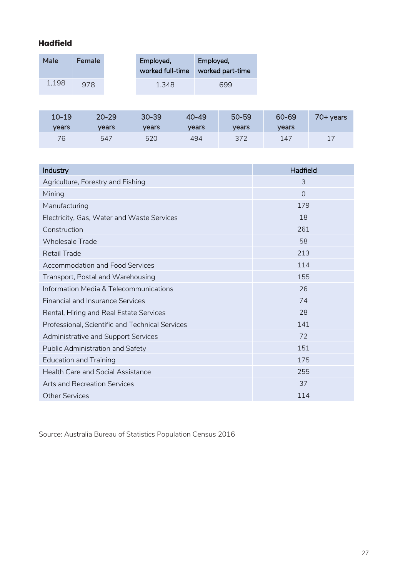#### **Hadfield**

| Male  | <b>Female</b> | Employed,<br>worked full-time | Employed,<br>worked part-time |
|-------|---------------|-------------------------------|-------------------------------|
| 1,198 | 978           | 1.348                         | 699                           |

| $10 - 19$ | $20 - 29$ | $30 - 39$ | $40 - 49$ | $50 - 59$ | 60-69 | 70+ years |
|-----------|-----------|-----------|-----------|-----------|-------|-----------|
| vears     | vears     | vears     | vears     | vears     | vears |           |
| 76        | 547       | 520       | 494       | 372       | 147   | 17        |

| Industry                                        | <b>Hadfield</b> |
|-------------------------------------------------|-----------------|
| Agriculture, Forestry and Fishing               | 3               |
| Mining                                          | $\Omega$        |
| Manufacturing                                   | 179             |
| Electricity, Gas, Water and Waste Services      | 18              |
| Construction                                    | 261             |
| <b>Wholesale Trade</b>                          | 58              |
| <b>Retail Trade</b>                             | 213             |
| <b>Accommodation and Food Services</b>          | 114             |
| Transport, Postal and Warehousing               | 155             |
| Information Media & Telecommunications          | 26              |
| <b>Financial and Insurance Services</b>         | 74              |
| Rental, Hiring and Real Estate Services         | 28              |
| Professional, Scientific and Technical Services | 141             |
| Administrative and Support Services             | 72              |
| Public Administration and Safety                | 151             |
| <b>Education and Training</b>                   | 175             |
| <b>Health Care and Social Assistance</b>        | 255             |
| Arts and Recreation Services                    | 37              |
| <b>Other Services</b>                           | 114             |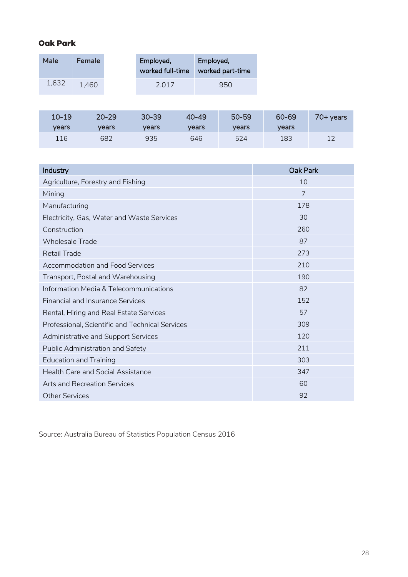#### **Oak Park**

| Male  | <b>Female</b> | Employed,<br>worked full-time | Employed,<br>worked part-time |
|-------|---------------|-------------------------------|-------------------------------|
| 1,632 | 1.460         | 2.017                         | 950                           |

| $10 - 19$ | $20 - 29$ | $30 - 39$ | $40 - 49$ | $50 - 59$ | 60-69 | 70+ years |
|-----------|-----------|-----------|-----------|-----------|-------|-----------|
| vears     | vears     | vears     | vears     | vears     | vears |           |
| 116       | 682       | 935       | 646       | 524       | 183   |           |

| Industry                                        | <b>Oak Park</b> |
|-------------------------------------------------|-----------------|
| Agriculture, Forestry and Fishing               | 10              |
| Mining                                          | 7               |
| Manufacturing                                   | 178             |
| Electricity, Gas, Water and Waste Services      | 30              |
| Construction                                    | 260             |
| <b>Wholesale Trade</b>                          | 87              |
| <b>Retail Trade</b>                             | 273             |
| <b>Accommodation and Food Services</b>          | 210             |
| Transport, Postal and Warehousing               | 190             |
| Information Media & Telecommunications          | 82              |
| <b>Financial and Insurance Services</b>         | 152             |
| Rental, Hiring and Real Estate Services         | 57              |
| Professional, Scientific and Technical Services | 309             |
| Administrative and Support Services             | 120             |
| Public Administration and Safety                | 211             |
| <b>Education and Training</b>                   | 303             |
| <b>Health Care and Social Assistance</b>        | 347             |
| Arts and Recreation Services                    | 60              |
| <b>Other Services</b>                           | 92              |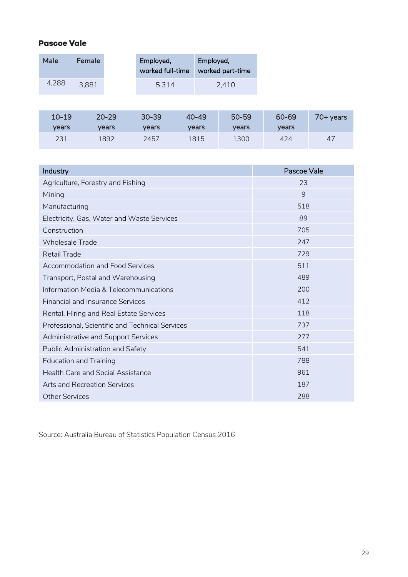#### **Pascoe Vale**

| Male  | <b>Female</b> | Employed,<br>worked full-time | Employed,<br>worked part-time |
|-------|---------------|-------------------------------|-------------------------------|
| 4,288 | 3.881         | 5,314                         | 2.410                         |

| $10 - 19$ | $20 - 29$ | $30 - 39$ | $40 - 49$ | 50-59 | 60-69 | 70+ years |
|-----------|-----------|-----------|-----------|-------|-------|-----------|
| vears     | vears     | vears     | vears     | vears | vears |           |
| 231       | 1892      | 2457      | 1815      | 1300  | 424   | 47        |

| Industry                                        | Pascoe Vale |
|-------------------------------------------------|-------------|
| Agriculture, Forestry and Fishing               | 23          |
| Mining                                          | 9           |
| Manufacturing                                   | 518         |
| Electricity, Gas, Water and Waste Services      | 89          |
| Construction                                    | 705         |
| <b>Wholesale Trade</b>                          | 247         |
| <b>Retail Trade</b>                             | 729         |
| <b>Accommodation and Food Services</b>          | 511         |
| Transport, Postal and Warehousing               | 489         |
| Information Media & Telecommunications          | 200         |
| <b>Financial and Insurance Services</b>         | 412         |
| Rental, Hiring and Real Estate Services         | 118         |
| Professional, Scientific and Technical Services | 737         |
| Administrative and Support Services             | 277         |
| Public Administration and Safety                | 541         |
| <b>Education and Training</b>                   | 788         |
| <b>Health Care and Social Assistance</b>        | 961         |
| Arts and Recreation Services                    | 187         |
| <b>Other Services</b>                           | 288         |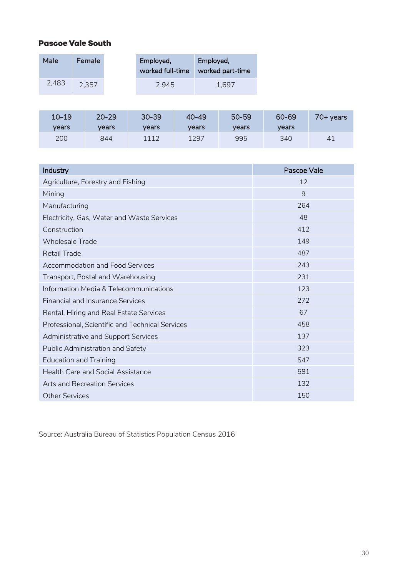#### **Pascoe Vale South**

| Male  | <b>Female</b> | Employed,<br>worked full-time | Employed,<br>worked part-time |
|-------|---------------|-------------------------------|-------------------------------|
| 2,483 | 2.357         | 2.945                         | 1.697                         |

| $10 - 19$ | $20 - 29$ | $30 - 39$ | $40 - 49$ | 50-59 | 60-69 | 70+ years |
|-----------|-----------|-----------|-----------|-------|-------|-----------|
| vears     | vears     | vears     | vears     | vears | vears |           |
| 200       | 844       | 1112      | 1297      | 995   | 340   | 41        |

| Industry                                        | Pascoe Vale |
|-------------------------------------------------|-------------|
| Agriculture, Forestry and Fishing               | 12          |
| Mining                                          | 9           |
| Manufacturing                                   | 264         |
| Electricity, Gas, Water and Waste Services      | 48          |
| Construction                                    | 412         |
| <b>Wholesale Trade</b>                          | 149         |
| <b>Retail Trade</b>                             | 487         |
| <b>Accommodation and Food Services</b>          | 243         |
| Transport, Postal and Warehousing               | 231         |
| Information Media & Telecommunications          | 123         |
| <b>Financial and Insurance Services</b>         | 272         |
| Rental, Hiring and Real Estate Services         | 67          |
| Professional, Scientific and Technical Services | 458         |
| Administrative and Support Services             | 137         |
| Public Administration and Safety                | 323         |
| <b>Education and Training</b>                   | 547         |
| <b>Health Care and Social Assistance</b>        | 581         |
| Arts and Recreation Services                    | 132         |
| <b>Other Services</b>                           | 150         |